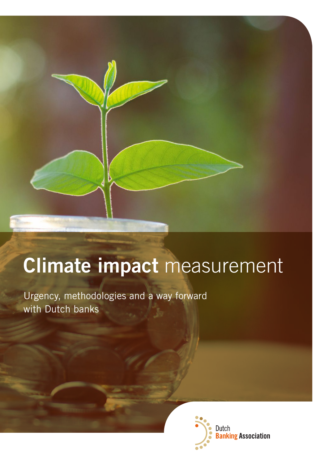# **Climate impact** measurement

Urgency, methodologies and a way forward with Dutch banks

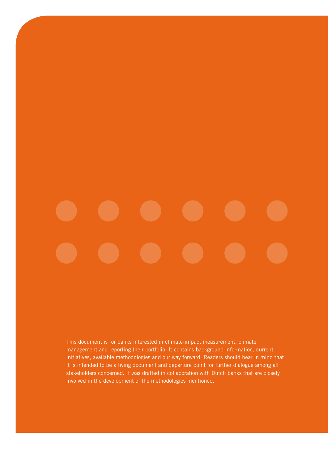This document is for banks interested in climate-impact measurement, climate management and reporting their portfolio. It contains background information, current initiatives, available methodologies and our way forward. Readers should bear in mind that it is intended to be a living document and departure point for further dialogue among all stakeholders concerned. It was drafted in collaboration with Dutch banks that are closely involved in the development of the methodologies mentioned.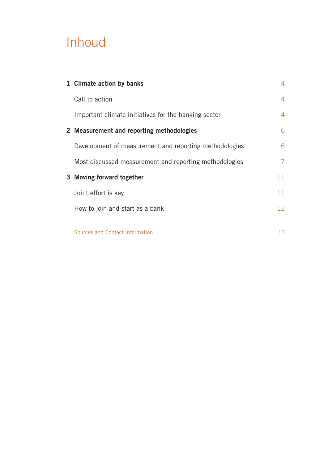# Inhoud

| 1 Climate action by banks                              | 4  |
|--------------------------------------------------------|----|
| Call to action                                         | 4  |
| Important climate initiatives for the banking sector   | 4  |
| 2 Measurement and reporting methodologies              | 6  |
| Development of measurement and reporting methodologies | 6  |
| Most discussed measurement and reporting methodologies | 7  |
| 3 Moving forward together                              | 11 |
| Joint effort is key                                    | 11 |
| How to join and start as a bank                        | 12 |
| Sources and Contact information                        | 13 |
|                                                        |    |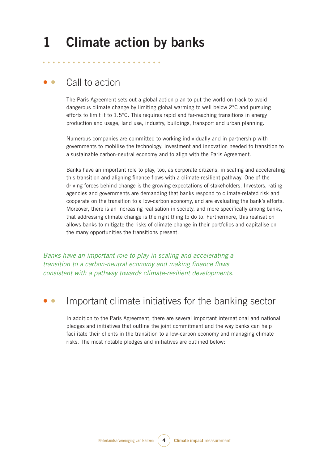## **1 Climate action by banks**

### • • Call to action

The Paris Agreement sets out a global action plan to put the world on track to avoid dangerous climate change by limiting global warming to well below 2°C and pursuing efforts to limit it to  $1.5^{\circ}$ C. This requires rapid and far-reaching transitions in energy production and usage, land use, industry, buildings, transport and urban planning.

Numerous companies are committed to working individually and in partnership with governments to mobilise the technology, investment and innovation needed to transition to a sustainable carbon-neutral economy and to align with the Paris Agreement.

Banks have an important role to play, too, as corporate citizens, in scaling and accelerating this transition and aligning finance flows with a climate-resilient pathway. One of the driving forces behind change is the growing expectations of stakeholders. Investors, rating agencies and governments are demanding that banks respond to climate-related risk and cooperate on the transition to a low-carbon economy, and are evaluating the bank's efforts. Moreover, there is an increasing realisation in society, and more specifically among banks, that addressing climate change is the right thing to do to. Furthermore, this realisation allows banks to mitigate the risks of climate change in their portfolios and capitalise on the many opportunities the transitions present.

*Banks have an important role to play in scaling and accelerating a transition to a carbon-neutral economy and making finance flows consistent with a pathway towards climate-resilient developments.*

### Important climate initiatives for the banking sector

In addition to the Paris Agreement, there are several important international and national pledges and initiatives that outline the joint commitment and the way banks can help facilitate their clients in the transition to a low-carbon economy and managing climate risks. The most notable pledges and initiatives are outlined below: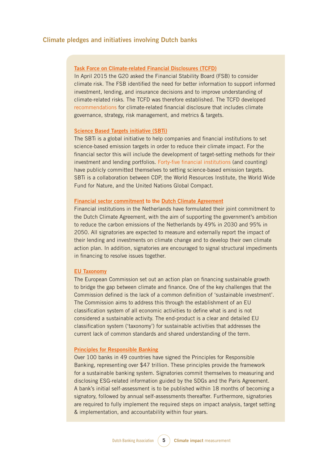#### **Climate pledges and initiatives involving Dutch banks**

#### **[Task Force on Climate-related Financial Disclosures \(TCFD\)](https://www.fsb-tcfd.org)**

In April 2015 the G20 asked the Financial Stability Board (FSB) to consider climate risk. The FSB identified the need for better information to support informed investment, lending, and insurance decisions and to improve understanding of climate-related risks. The TCFD was therefore established. The TCFD developed [recommendations](https://www.fsb-tcfd.org/publications/final-recommendations-report/) for climate-related financial disclosure that includes climate governance, strategy, risk management, and metrics & targets.

#### **[Science Based Targets initiative \(SBTi\)](https://sciencebasedtargets.org)**

The SBTi is a global initiative to help companies and financial institutions to set science-based emission targets in order to reduce their climate impact. For the financial sector this will include the development of target-setting methods for their investment and lending portfolios. [Forty-five financial institutions](https://sciencebasedtargets.org/companies-taking-action/) (and counting) have publicly committed themselves to setting science-based emission targets. SBTi is a collaboration between CDP, the World Resources Institute, the World Wide Fund for Nature, and the United Nations Global Compact.

#### **[Financial sector commitment](https://www.klimaatakkoord.nl/themas/financiering/documenten/publicaties/2019/07/10/commitment-van-de-financiele-sector) to the [Dutch Climate Agreement](https://www.klimaatakkoord.nl/documenten/publicaties/2019/06/28/klimaatakkoord)**

Financial institutions in the Netherlands have formulated their joint commitment to the Dutch Climate Agreement, with the aim of supporting the government's ambition to reduce the carbon emissions of the Netherlands by 49% in 2030 and 95% in 2050. All signatories are expected to measure and externally report the impact of their lending and investments on climate change and to develop their own climate action plan. In addition, signatories are encouraged to signal structural impediments in financing to resolve issues together.

#### **[EU Taxonomy](https://ec.europa.eu/info/publications/sustainable-finance-technical-expert-group_en)**

The European Commission set out an action plan on financing sustainable growth to bridge the gap between climate and finance. One of the key challenges that the Commission defined is the lack of a common definition of 'sustainable investment'. The Commission aims to address this through the establishment of an EU classification system of all economic activities to define what is and is not considered a sustainable activity. The end-product is a clear and detailed EU classification system ('taxonomy') for sustainable activities that addresses the current lack of common standards and shared understanding of the term.

#### **[Principles for Responsible Banking](https://www.unepfi.org/banking/bankingprinciples/)**

Over 100 banks in 49 countries have signed the Principles for Responsible Banking, representing over \$47 trillion. These principles provide the framework for a sustainable banking system. Signatories commit themselves to measuring and disclosing ESG-related information guided by the SDGs and the Paris Agreement. A bank's initial self-assessment is to be published within 18 months of becoming a signatory, followed by annual self-assessments thereafter. Furthermore, signatories are required to fully implement the required steps on impact analysis, target setting & implementation, and accountability within four years.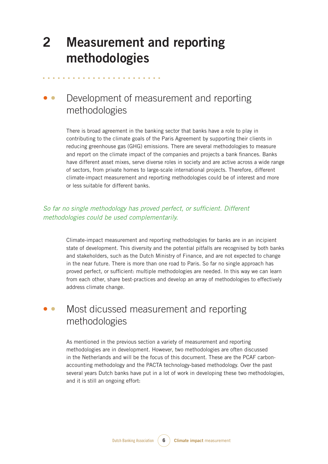## **2 Measurement and reporting methodologies**

## • • Development of measurement and reporting methodologies

There is broad agreement in the banking sector that banks have a role to play in contributing to the climate goals of the Paris Agreement by supporting their clients in reducing greenhouse gas (GHG) emissions. There are several methodologies to measure and report on the climate impact of the companies and projects a bank finances. Banks have different asset mixes, serve diverse roles in society and are active across a wide range of sectors, from private homes to large-scale international projects. Therefore, different climate-impact measurement and reporting methodologies could be of interest and more or less suitable for different banks.

### *So far no single methodology has proved perfect, or sufficient. Different methodologies could be used complementarily.*

Climate-impact measurement and reporting methodologies for banks are in an incipient state of development. This diversity and the potential pitfalls are recognised by both banks and stakeholders, such as the Dutch Ministry of Finance, and are not expected to change in the near future. There is more than one road to Paris. So far no single approach has proved perfect, or sufficient: multiple methodologies are needed. In this way we can learn from each other, share best-practices and develop an array of methodologies to effectively address climate change.

## • • Most dicussed measurement and reporting methodologies

As mentioned in the previous section a variety of measurement and reporting methodologies are in development. However, two methodologies are often discussed in the Netherlands and will be the focus of this document. These are the PCAF carbonaccounting methodology and the PACTA technology-based methodology. Over the past several years Dutch banks have put in a lot of work in developing these two methodologies, and it is still an ongoing effort: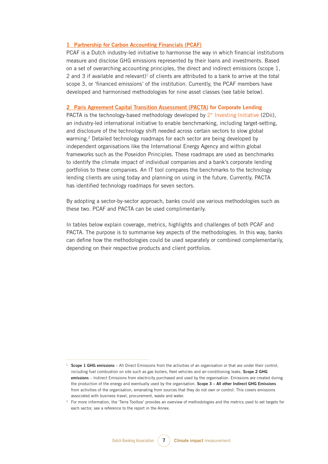#### **1 [Partnership for Carbon Accounting Financials \(PCAF\)](https://carbonaccountingfinancials.com)**

PCAF is a Dutch industry-led initiative to harmonise the way in which financial institutions measure and disclose GHG emissions represented by their loans and investments. Based on a set of overarching accounting principles, the direct and indirect emissions (scope 1, 2 and 3 if available and relevant)<sup>1</sup> of clients are attributed to a bank to arrive at the total scope 3, or 'financed emissions' of the institution. Currently, the PCAF members have developed and harmonised methodologies for nine asset classes (see table below).

#### **2 [Paris Agreement Capital Transition Assessment \(PACTA\)](https://www.transitionmonitor.com) for Corporate Lending**

PACTA is the technology-based methodology developed by  $2^\circ$  Investing Initiative (2Dii), an industry-led international initiative to enable benchmarking, including target-setting, and disclosure of the technology shift needed across certain sectors to slow global warming.<sup>2</sup> Detailed technology roadmaps for each sector are being developed by independent organisations like the International Energy Agency and within global frameworks such as the Poseidon Principles. These roadmaps are used as benchmarks to identify the climate impact of individual companies and a bank's corporate lending portfolios to these companies. An IT tool compares the benchmarks to the technology lending clients are using today and planning on using in the future. Currently, PACTA has identified technology roadmaps for seven sectors.

By adopting a sector-by-sector approach, banks could use various methodologies such as these two. PCAF and PACTA can be used complimentarily.

In tables below explain coverage, metrics, highlights and challenges of both PCAF and PACTA. The purpose is to summarise key aspects of the methodologies. In this way, banks can define how the methodologies could be used separately or combined complementarily, depending on their respective products and client portfolios.

<sup>&</sup>lt;sup>1</sup> **Scope 1 GHG emissions** – All Direct Emissions from the activities of an organisation or that are under their control, including fuel combustion on site such as gas boilers, fleet vehicles and air-conditioning leaks. **Scope 2 GHG emissions** – Indirect Emissions from electricity purchased and used by the organisation. Emissions are created during the production of the energy and eventually used by the organisation. **Scope 3 – All other Indirect GHG Emissions** from activities of the organisation, emanating from sources that they do not own or control. This covers emissions associated with business travel, procurement, waste and water.

<sup>2</sup> For more information, the 'Terra Toolbox' provides an overview of methodologies and the metrics used to set targets for each sector, see a reference to the report in the Annex.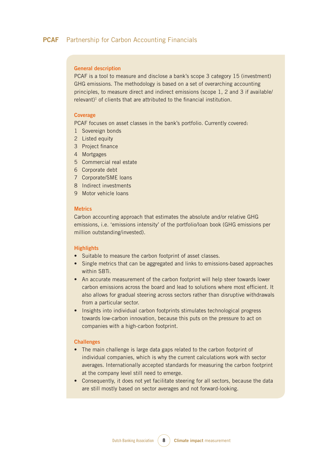#### **General description**

PCAF is a tool to measure and disclose a bank's scope 3 category 15 (investment) GHG emissions. The methodology is based on a set of overarching accounting principles, to measure direct and indirect emissions (scope 1, 2 and 3 if available/ relevant)<sup>1</sup> of clients that are attributed to the financial institution.

#### **Coverage**

PCAF focuses on asset classes in the bank's portfolio. Currently covered:

- 1 Sovereign bonds
- 2 Listed equity
- 3 Project finance
- 4 Mortgages
- 5 Commercial real estate
- 6 Corporate debt
- 7 Corporate/SME loans
- 8 Indirect investments
- 9 Motor vehicle loans

#### **Metrics**

Carbon accounting approach that estimates the absolute and/or relative GHG emissions, i.e. 'emissions intensity' of the portfolio/loan book (GHG emissions per million outstanding/invested).

#### **Highlights**

- Suitable to measure the carbon footprint of asset classes.
- Single metrics that can be aggregated and links to emissions-based approaches within SBTi.
- An accurate measurement of the carbon footprint will help steer towards lower carbon emissions across the board and lead to solutions where most efficient. It also allows for gradual steering across sectors rather than disruptive withdrawals from a particular sector.
- Insights into individual carbon footprints stimulates technological progress towards low-carbon innovation, because this puts on the pressure to act on companies with a high-carbon footprint.

#### **Challenges**

- The main challenge is large data gaps related to the carbon footprint of individual companies, which is why the current calculations work with sector averages. Internationally accepted standards for measuring the carbon footprint at the company level still need to emerge.
- Consequently, it does not yet facilitate steering for all sectors, because the data are still mostly based on sector averages and not forward-looking.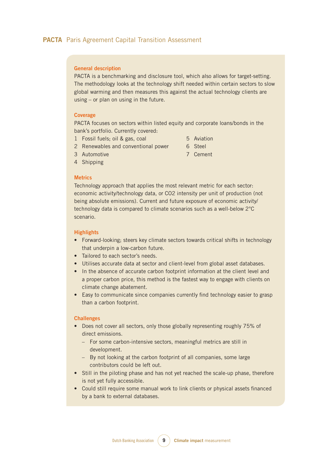#### **General description**

PACTA is a benchmarking and disclosure tool, which also allows for target-setting. The methodology looks at the technology shift needed within certain sectors to slow global warming and then measures this against the actual technology clients are using – or plan on using in the future.

#### **Coverage**

PACTA focuses on sectors within listed equity and corporate loans/bonds in the bank's portfolio. Currently covered:

- 1 Fossil fuels; oil & gas, coal
- 5 Aviation

6 Steel

- 2 Renewables and conventional power
- 7 Cement

3 Automotive 4 Shipping

#### **Metrics**

Technology approach that applies the most relevant metric for each sector: economic activity/technology data, or CO2 intensity per unit of production (not being absolute emissions). Current and future exposure of economic activity/ technology data is compared to climate scenarios such as a well-below 2°C scenario.

#### **Highlights**

- Forward-looking; steers key climate sectors towards critical shifts in technology that underpin a low-carbon future.
- Tailored to each sector's needs.
- Utilises accurate data at sector and client-level from global asset databases.
- In the absence of accurate carbon footprint information at the client level and a proper carbon price, this method is the fastest way to engage with clients on climate change abatement.
- Easy to communicate since companies currently find technology easier to grasp than a carbon footprint.

#### **Challenges**

- Does not cover all sectors, only those globally representing roughly 75% of direct emissions.
	- For some carbon-intensive sectors, meaningful metrics are still in development.
	- By not looking at the carbon footprint of all companies, some large contributors could be left out.
- Still in the piloting phase and has not yet reached the scale-up phase, therefore is not yet fully accessible.
- Could still require some manual work to link clients or physical assets financed by a bank to external databases.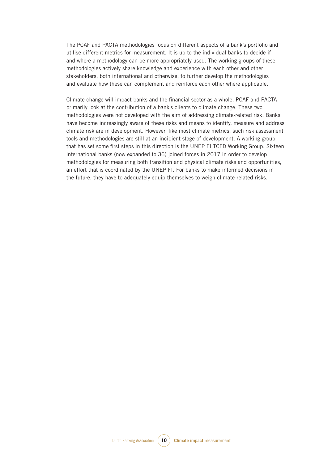The PCAF and PACTA methodologies focus on different aspects of a bank's portfolio and utilise different metrics for measurement. It is up to the individual banks to decide if and where a methodology can be more appropriately used. The working groups of these methodologies actively share knowledge and experience with each other and other stakeholders, both international and otherwise, to further develop the methodologies and evaluate how these can complement and reinforce each other where applicable.

Climate change will impact banks and the financial sector as a whole. PCAF and PACTA primarily look at the contribution of a bank's clients to climate change. These two methodologies were not developed with the aim of addressing climate-related risk. Banks have become increasingly aware of these risks and means to identify, measure and address climate risk are in development. However, like most climate metrics, such risk assessment tools and methodologies are still at an incipient stage of development. A working group that has set some first steps in this direction is the UNEP FI TCFD Working Group. Sixteen international banks (now expanded to 36) joined forces in 2017 in order to develop methodologies for measuring both transition and physical climate risks and opportunities, an effort that is coordinated by the UNEP FI. For banks to make informed decisions in the future, they have to adequately equip themselves to weigh climate-related risks.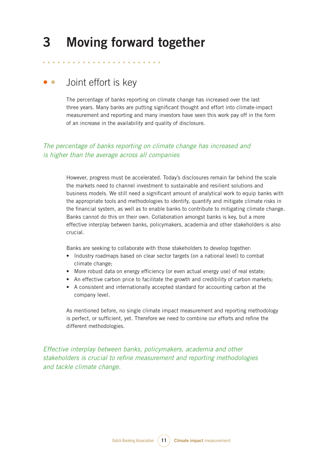## **3 Moving forward together**

## • • Joint effort is key

The percentage of banks reporting on climate change has increased over the last three years. Many banks are putting significant thought and effort into climate-impact measurement and reporting and many investors have seen this work pay off in the form of an increase in the availability and quality of disclosure.

### *The percentage of banks reporting on climate change has increased and is higher than the average across all companies*

However, progress must be accelerated. Today's disclosures remain far behind the scale the markets need to channel investment to sustainable and resilient solutions and business models. We still need a significant amount of analytical work to equip banks with the appropriate tools and methodologies to identify, quantify and mitigate climate risks in the financial system, as well as to enable banks to contribute to mitigating climate change. Banks cannot do this on their own. Collaboration amongst banks is key, but a more effective interplay between banks, policymakers, academia and other stakeholders is also crucial.

Banks are seeking to collaborate with those stakeholders to develop together:

- Industry roadmaps based on clear sector targets (on a national level) to combat climate change;
- More robust data on energy efficiency (or even actual energy use) of real estate;
- An effective carbon price to facilitate the growth and credibility of carbon markets;
- • A consistent and internationally accepted standard for accounting carbon at the company level.

As mentioned before, no single climate impact measurement and reporting methodology is perfect, or sufficient, yet. Therefore we need to combine our efforts and refine the different methodologies.

*Effective interplay between banks, policymakers, academia and other stakeholders is crucial to refine measurement and reporting methodologies and tackle climate change.*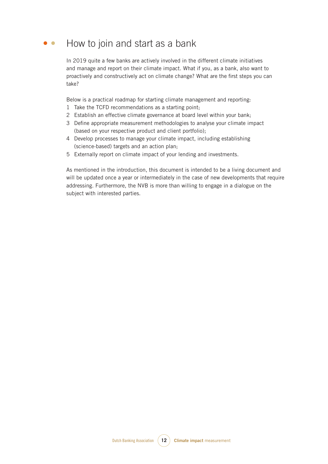### • • How to join and start as a bank

In 2019 quite a few banks are actively involved in the different climate initiatives and manage and report on their climate impact. What if you, as a bank, also want to proactively and constructively act on climate change? What are the first steps you can take?

Below is a practical roadmap for starting climate management and reporting:

- 1 Take the TCFD recommendations as a starting point;
- 2 Establish an effective climate governance at board level within your bank;
- 3 Define appropriate measurement methodologies to analyse your climate impact (based on your respective product and client portfolio);
- 4 Develop processes to manage your climate impact, including establishing (science-based) targets and an action plan;
- 5 Externally report on climate impact of your lending and investments.

As mentioned in the introduction, this document is intended to be a living document and will be updated once a year or intermediately in the case of new developments that require addressing. Furthermore, the NVB is more than willing to engage in a dialogue on the subject with interested parties.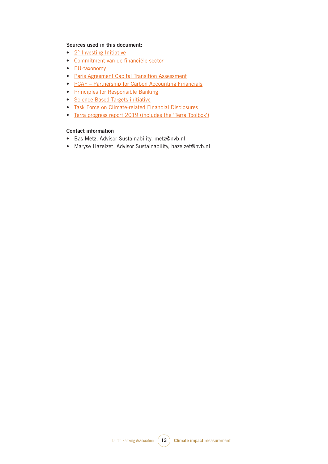#### **Sources used in this document:**

- 2<sup>°</sup> Investing Initiative
- [Commitment van de financiële sector](https://www.klimaatakkoord.nl/themas/financiering/documenten/publicaties/2019/07/10/commitment-van-de-financiele-sector)
- [EU-taxonomy](https://ec.europa.eu/info/publications/sustainable-finance-technical-expert-group_en)
- [Paris Agreement Capital Transition Assessment](https://www.transitionmonitor.com)
- PCAF Partnership for Carbon Accounting Financials
- [Principles for Responsible Banking](https://www.unepfi.org/banking/bankingprinciples/)
- [Science Based Targets initiative](https://sciencebasedtargets.org)
- [Task Force on Climate-related Financial Disclosures](https://www.fsb-tcfd.org)
- [Terra progress report 2019 \(includes the 'Terra Toolbox'\)](https://www.ing.com/Newsroom/All-news/ING-takes-next-step-on-climate-alignment.htm)

#### **Contact information**

- • Bas Metz, Advisor Sustainability, metz@nvb.nl
- Maryse Hazelzet, Advisor Sustainability, hazelzet@nvb.nl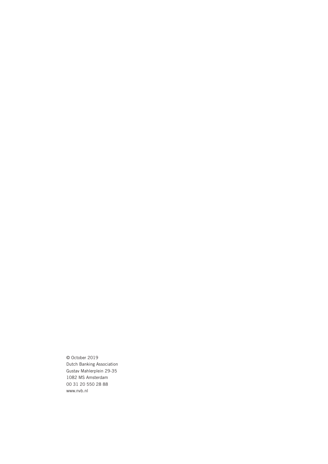© October 2019 Dutch Banking Association Gustav Mahlerplein 29-35 1082 MS Amsterdam 00 31 20 550 28 88 [www.nvb.nl](http://www.nvb.nl)